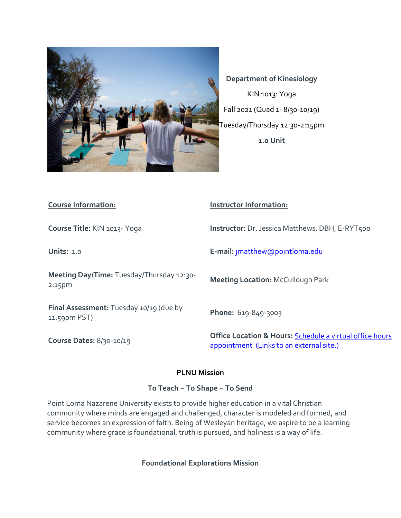

**Department of Kinesiology** KIN 1013: Yoga Fall 2021 (Quad 1- 8/30-10/19) Tuesday/Thursday 12:30-2:15pm **1.0 Unit**

| <b>Course Information:</b>                              | <b>Instructor Information:</b>                                                                                  |  |  |
|---------------------------------------------------------|-----------------------------------------------------------------------------------------------------------------|--|--|
| Course Title: KIN 1013- Yoga                            | <b>Instructor:</b> Dr. Jessica Matthews, DBH, E-RYT500                                                          |  |  |
| <b>Units: 1.0</b>                                       | E-mail: jmatthew@pointloma.edu                                                                                  |  |  |
| Meeting Day/Time: Tuesday/Thursday 12:30-<br>$2:15$ pm  | <b>Meeting Location: McCullough Park</b>                                                                        |  |  |
| Final Assessment: Tuesday 10/19 (due by<br>11:59pm PST) | Phone: 619-849-3003                                                                                             |  |  |
| Course Dates: 8/30-10/19                                | <b>Office Location &amp; Hours: Schedule a virtual office hours</b><br>appointment (Links to an external site.) |  |  |

## **PLNU Mission**

## **To Teach ~ To Shape ~ To Send**

Point Loma Nazarene University exists to provide higher education in a vital Christian community where minds are engaged and challenged, character is modeled and formed, and service becomes an expression of faith. Being of Wesleyan heritage, we aspire to be a learning community where grace is foundational, truth is pursued, and holiness is a way of life.

**Foundational Explorations Mission**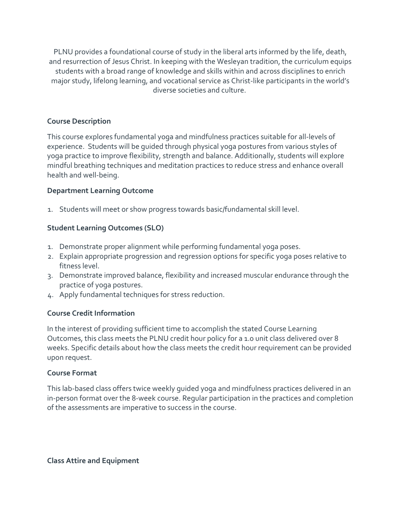PLNU provides a foundational course of study in the liberal arts informed by the life, death, and resurrection of Jesus Christ. In keeping with the Wesleyan tradition, the curriculum equips students with a broad range of knowledge and skills within and across disciplines to enrich major study, lifelong learning, and vocational service as Christ-like participants in the world's diverse societies and culture.

## **Course Description**

This course explores fundamental yoga and mindfulness practices suitable for all-levels of experience. Students will be guided through physical yoga postures from various styles of yoga practice to improve flexibility, strength and balance. Additionally, students will explore mindful breathing techniques and meditation practices to reduce stress and enhance overall health and well-being.

#### **Department Learning Outcome**

1. Students will meet or show progress towards basic/fundamental skill level.

## **Student Learning Outcomes (SLO)**

- 1. Demonstrate proper alignment while performing fundamental yoga poses.
- 2. Explain appropriate progression and regression options for specific yoga poses relative to fitness level.
- 3. Demonstrate improved balance, flexibility and increased muscular endurance through the practice of yoga postures.
- 4. Apply fundamental techniques for stress reduction.

## **Course Credit Information**

In the interest of providing sufficient time to accomplish the stated Course Learning Outcomes, this class meets the PLNU credit hour policy for a 1.0 unit class delivered over 8 weeks. Specific details about how the class meets the credit hour requirement can be provided upon request.

#### **Course Format**

This lab-based class offers twice weekly guided yoga and mindfulness practices delivered in an in-person format over the 8-week course. Regular participation in the practices and completion of the assessments are imperative to success in the course.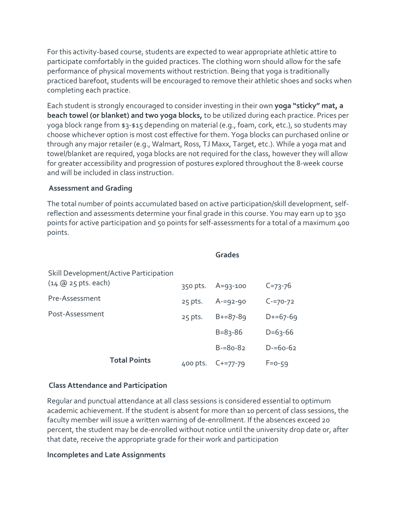For this activity-based course, students are expected to wear appropriate athletic attire to participate comfortably in the guided practices. The clothing worn should allow for the safe performance of physical movements without restriction. Being that yoga is traditionally practiced barefoot, students will be encouraged to remove their athletic shoes and socks when completing each practice.

Each student is strongly encouraged to consider investing in their own **yoga "sticky" mat, a beach towel (or blanket) and two yoga blocks,** to be utilized during each practice. Prices per yoga block range from \$3-\$15 depending on material (e.g., foam, cork, etc.), so students may choose whichever option is most cost effective for them. Yoga blocks can purchased online or through any major retailer (e.g., Walmart, Ross, TJ Maxx, Target, etc.). While a yoga mat and towel/blanket are required, yoga blocks are not required for the class, however they will allow for greater accessibility and progression of postures explored throughout the 8-week course and will be included in class instruction.

#### **Assessment and Grading**

The total number of points accumulated based on active participation/skill development, selfreflection and assessments determine your final grade in this course. You may earn up to 350 points for active participation and 50 points for self-assessments for a total of a maximum 400 points.

|                                        |           | <b>Grades</b>  |               |
|----------------------------------------|-----------|----------------|---------------|
| Skill Development/Active Participation |           |                |               |
| $(14 \text{ @ } 25 \text{ pts. each})$ | 350 pts.  | $A = 93 - 100$ | $C = 73 - 76$ |
| Pre-Assessment                         | $25$ pts. | $A = 92 - 90$  | $C = 70 - 72$ |
| Post-Assessment                        | $25$ pts. | $B+=87-89$     | $D+ = 67-69$  |
|                                        |           | $B = 83 - 86$  | $D=63-66$     |
|                                        |           | $B = 80 - 82$  | $D = 60 - 62$ |
| <b>Total Points</b>                    | 400 pts.  | $C+=77-79$     | $F=0-59$      |

#### **Class Attendance and Participation**

Regular and punctual attendance at all class sessions is considered essential to optimum academic achievement. If the student is absent for more than 10 percent of class sessions, the faculty member will issue a written warning of de-enrollment. If the absences exceed 20 percent, the student may be de-enrolled without notice until the university drop date or, after that date, receive the appropriate grade for their work and participation

#### **Incompletes and Late Assignments**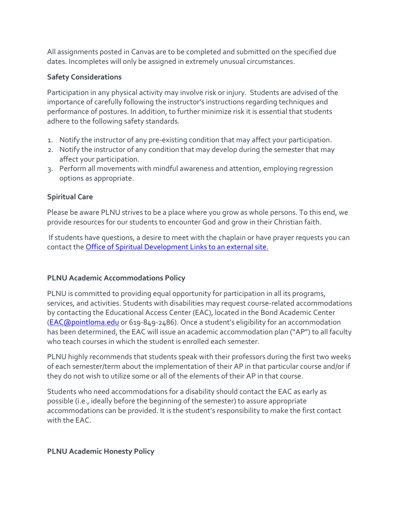All assignments posted in Canvas are to be completed and submitted on the specified due dates. Incompletes will only be assigned in extremely unusual circumstances.

## **Safety Considerations**

Participation in any physical activity may involve risk or injury. Students are advised of the importance of carefully following the instructor's instructions regarding techniques and performance of postures. In addition, to further minimize risk it is essential that students adhere to the following safety standards.

- 1. Notify the instructor of any pre-existing condition that may affect your participation.
- 2. Notify the instructor of any condition that may develop during the semester that may affect your participation.
- 3. Perform all movements with mindful awareness and attention, employing regression options as appropriate.

# **Spiritual Care**

Please be aware PLNU strives to be a place where you grow as whole persons. To this end, we provide resources for our students to encounter God and grow in their Christian faith.

If students have questions, a desire to meet with the chaplain or have prayer requests you can contact the [Office of Spiritual Development](https://www.pointloma.edu/offices/spiritual-development) Links to an external site.

# **PLNU Academic Accommodations Policy**

PLNU is committed to providing equal opportunity for participation in all its programs, services, and activities. Students with disabilities may request course-related accommodations by contacting the Educational Access Center (EAC), located in the Bond Academic Center [\(EAC@pointloma.edu](mailto:EAC@pointloma.edu) or 619-849-2486). Once a student's eligibility for an accommodation has been determined, the EAC will issue an academic accommodation plan ("AP") to all faculty who teach courses in which the student is enrolled each semester.

PLNU highly recommends that students speak with their professors during the first two weeks of each semester/term about the implementation of their AP in that particular course and/or if they do not wish to utilize some or all of the elements of their AP in that course.

Students who need accommodations for a disability should contact the EAC as early as possible (i.e., ideally before the beginning of the semester) to assure appropriate accommodations can be provided. It is the student's responsibility to make the first contact with the EAC.

# **PLNU Academic Honesty Policy**